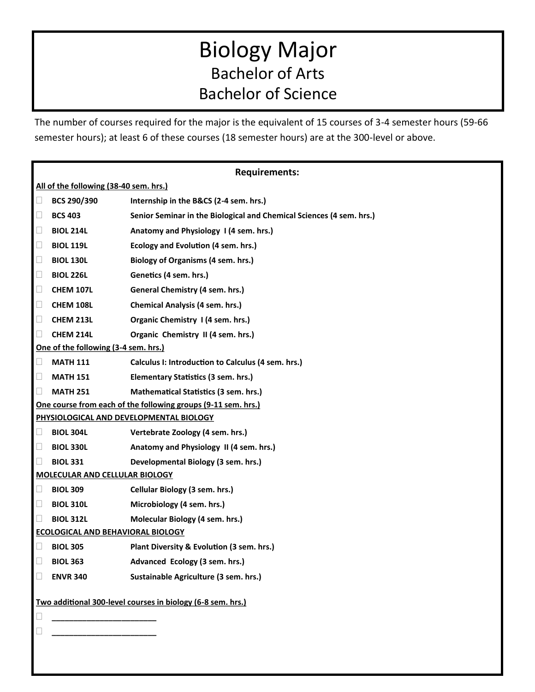# Biology Major Bachelor of Arts Bachelor of Science

The number of courses required for the major is the equivalent of 15 courses of 3-4 semester hours (59-66 semester hours); at least 6 of these courses (18 semester hours) are at the 300-level or above.

| <b>Requirements:</b>                                             |                  |                                                                      |
|------------------------------------------------------------------|------------------|----------------------------------------------------------------------|
| All of the following (38-40 sem. hrs.)                           |                  |                                                                      |
| $\Box$                                                           | BCS 290/390      | Internship in the B&CS (2-4 sem. hrs.)                               |
| $\Box$                                                           | <b>BCS 403</b>   | Senior Seminar in the Biological and Chemical Sciences (4 sem. hrs.) |
| L                                                                | <b>BIOL 214L</b> | Anatomy and Physiology 1 (4 sem. hrs.)                               |
| L                                                                | <b>BIOL 119L</b> | Ecology and Evolution (4 sem. hrs.)                                  |
| $\Box$                                                           | <b>BIOL 130L</b> | <b>Biology of Organisms (4 sem. hrs.)</b>                            |
| $\Box$                                                           | <b>BIOL 226L</b> | Genetics (4 sem. hrs.)                                               |
| $\Box$                                                           | <b>CHEM 107L</b> | General Chemistry (4 sem. hrs.)                                      |
| $\Box$                                                           | <b>CHEM 108L</b> | <b>Chemical Analysis (4 sem. hrs.)</b>                               |
| $\Box$                                                           | CHEM 213L        | Organic Chemistry 1 (4 sem. hrs.)                                    |
| $\Box$                                                           | CHEM 214L        | Organic Chemistry II (4 sem. hrs.)                                   |
| One of the following (3-4 sem. hrs.)                             |                  |                                                                      |
| $\Box$                                                           | <b>MATH 111</b>  | Calculus I: Introduction to Calculus (4 sem. hrs.)                   |
| $\Box$                                                           | <b>MATH 151</b>  | Elementary Statistics (3 sem. hrs.)                                  |
| $\Box$                                                           | <b>MATH 251</b>  | <b>Mathematical Statistics (3 sem. hrs.)</b>                         |
| One course from each of the following groups (9-11 sem. hrs.)    |                  |                                                                      |
| PHYSIOLOGICAL AND DEVELOPMENTAL BIOLOGY                          |                  |                                                                      |
| Ш                                                                | <b>BIOL 304L</b> | Vertebrate Zoology (4 sem. hrs.)                                     |
| $\Box$                                                           | <b>BIOL 330L</b> | Anatomy and Physiology II (4 sem. hrs.)                              |
| $\Box$                                                           | <b>BIOL 331</b>  | Developmental Biology (3 sem. hrs.)                                  |
| <b>MOLECULAR AND CELLULAR BIOLOGY</b>                            |                  |                                                                      |
| Ц                                                                | <b>BIOL 309</b>  | Cellular Biology (3 sem. hrs.)                                       |
| $\Box$                                                           | <b>BIOL 310L</b> | Microbiology (4 sem. hrs.)                                           |
| $\Box$                                                           | <b>BIOL 312L</b> | Molecular Biology (4 sem. hrs.)                                      |
| <b>ECOLOGICAL AND BEHAVIORAL BIOLOGY</b>                         |                  |                                                                      |
| $\Box$                                                           | <b>BIOL 305</b>  | Plant Diversity & Evolution (3 sem. hrs.)                            |
| $\Box$                                                           | <b>BIOL 363</b>  | Advanced Ecology (3 sem. hrs.)                                       |
| $\Box$                                                           | <b>ENVR 340</b>  | Sustainable Agriculture (3 sem. hrs.)                                |
| Two additional 300-level courses in biology (6-8 sem. hrs.)<br>L |                  |                                                                      |
|                                                                  |                  |                                                                      |